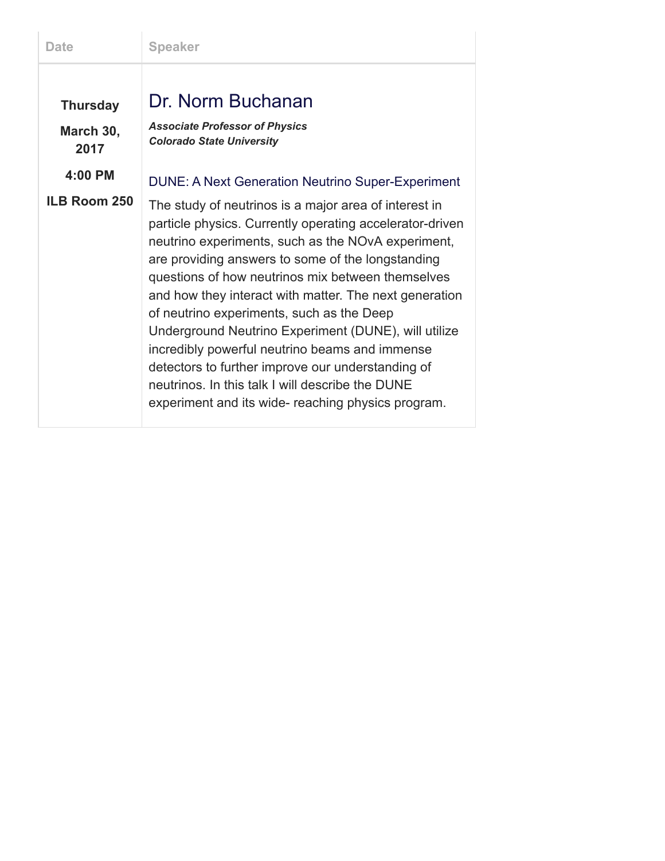| Date                | <b>Speaker</b>                                                                                                                                                                                                                                                                                                                                                                                                                                                                                                                                                                                                                                                    |
|---------------------|-------------------------------------------------------------------------------------------------------------------------------------------------------------------------------------------------------------------------------------------------------------------------------------------------------------------------------------------------------------------------------------------------------------------------------------------------------------------------------------------------------------------------------------------------------------------------------------------------------------------------------------------------------------------|
| <b>Thursday</b>     | Dr. Norm Buchanan                                                                                                                                                                                                                                                                                                                                                                                                                                                                                                                                                                                                                                                 |
| March 30,<br>2017   | <b>Associate Professor of Physics</b><br><b>Colorado State University</b>                                                                                                                                                                                                                                                                                                                                                                                                                                                                                                                                                                                         |
| 4:00 PM             | <b>DUNE: A Next Generation Neutrino Super-Experiment</b>                                                                                                                                                                                                                                                                                                                                                                                                                                                                                                                                                                                                          |
| <b>ILB Room 250</b> | The study of neutrinos is a major area of interest in<br>particle physics. Currently operating accelerator-driven<br>neutrino experiments, such as the NOvA experiment,<br>are providing answers to some of the longstanding<br>questions of how neutrinos mix between themselves<br>and how they interact with matter. The next generation<br>of neutrino experiments, such as the Deep<br>Underground Neutrino Experiment (DUNE), will utilize<br>incredibly powerful neutrino beams and immense<br>detectors to further improve our understanding of<br>neutrinos. In this talk I will describe the DUNE<br>experiment and its wide- reaching physics program. |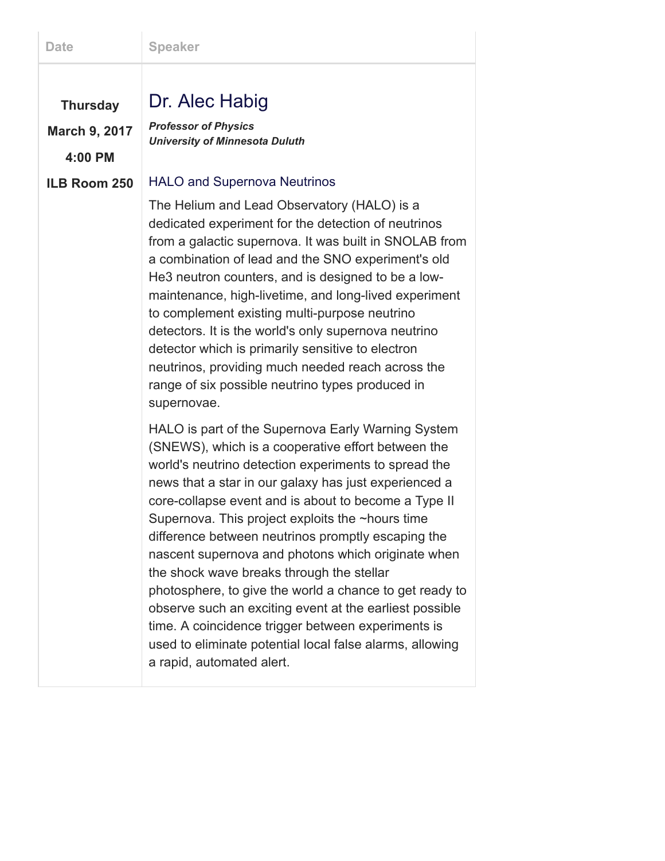#### Thursday

March 9, 2017 4:00 PM

Professor of Physics University of Minnesota Duluth

Dr. Alec Habig

#### ILB Room 250 HALO and Supernova Neutrinos

The Helium and Lead Observatory (HALO) is a dedicated experiment for the detection of neutrinos from a galactic supernova. It was built in SNOLAB from a combination of lead and the SNO experiment's old He3 neutron counters, and is designed to be a lowmaintenance, high-livetime, and long-lived experiment to complement existing multi-purpose neutrino detectors. It is the world's only supernova neutrino detector which is primarily sensitive to electron neutrinos, providing much needed reach across the range of six possible neutrino types produced in supernovae.

HALO is part of the Supernova Early Warning System (SNEWS), which is a cooperative effort between the world's neutrino detection experiments to spread the news that a star in our galaxy has just experienced a core-collapse event and is about to become a Type II Supernova. This project exploits the ~hours time difference between neutrinos promptly escaping the nascent supernova and photons which originate when the shock wave breaks through the stellar photosphere, to give the world a chance to get ready to observe such an exciting event at the earliest possible time. A coincidence trigger between experiments is used to eliminate potential local false alarms, allowing a rapid, automated alert.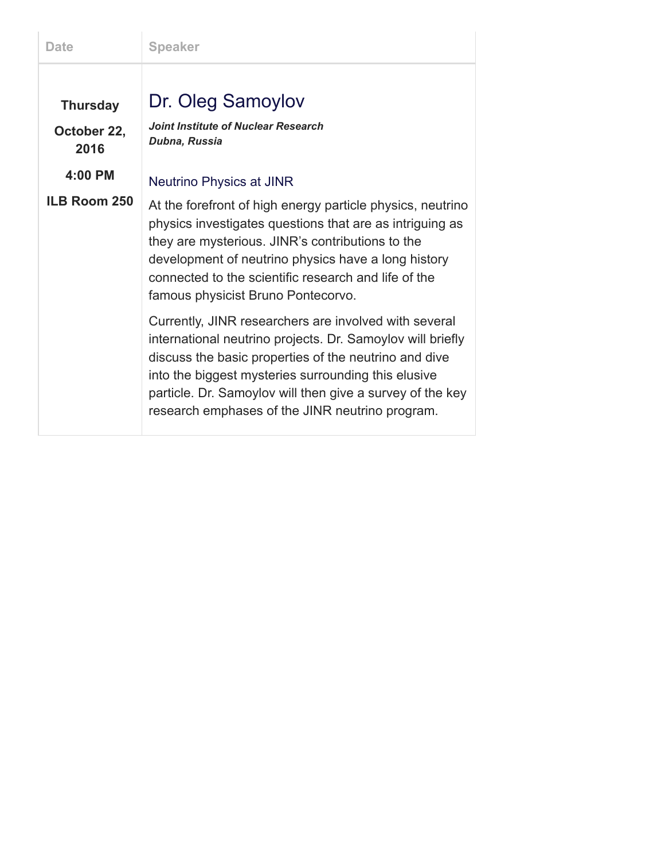| <b>Date</b>                    | <b>Speaker</b>                                                                                                                                                                                                                                                                                                                                      |
|--------------------------------|-----------------------------------------------------------------------------------------------------------------------------------------------------------------------------------------------------------------------------------------------------------------------------------------------------------------------------------------------------|
| <b>Thursday</b><br>October 22, | Dr. Oleg Samoylov<br>Joint Institute of Nuclear Research<br>Dubna, Russia                                                                                                                                                                                                                                                                           |
| 2016<br>$4:00 \, \text{PM}$    | <b>Neutrino Physics at JINR</b>                                                                                                                                                                                                                                                                                                                     |
| ILB Room 250                   | At the forefront of high energy particle physics, neutrino<br>physics investigates questions that are as intriguing as<br>they are mysterious. JINR's contributions to the<br>development of neutrino physics have a long history<br>connected to the scientific research and life of the<br>famous physicist Bruno Pontecorvo.                     |
|                                | Currently, JINR researchers are involved with several<br>international neutrino projects. Dr. Samoylov will briefly<br>discuss the basic properties of the neutrino and dive<br>into the biggest mysteries surrounding this elusive<br>particle. Dr. Samoylov will then give a survey of the key<br>research emphases of the JINR neutrino program. |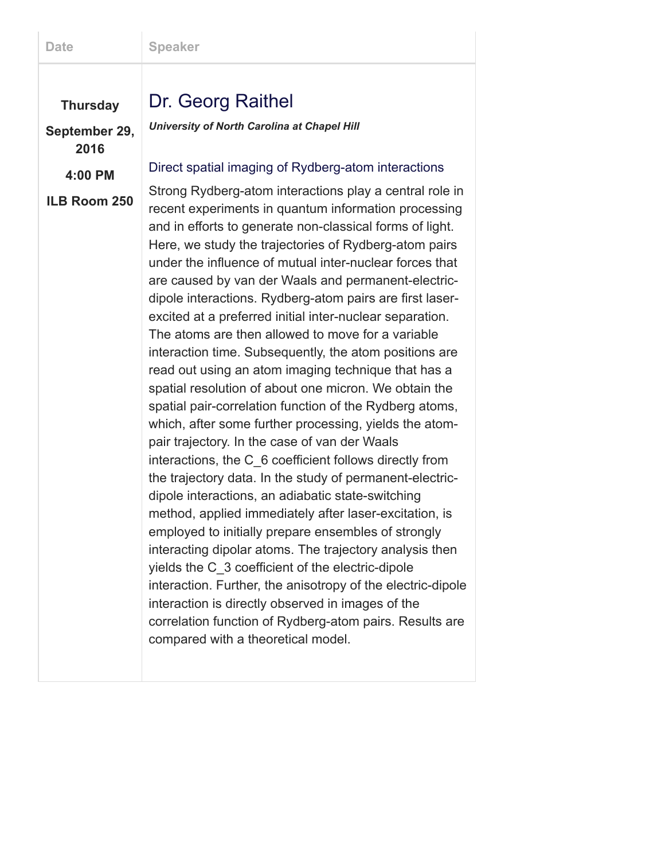### Thursday

September 29, 2016

4:00 PM

#### ILB Room 250

# Dr. Georg Raithel

University of North Carolina at Chapel Hill

Direct spatial imaging of Rydberg-atom interactions

Strong Rydberg-atom interactions play a central role in recent experiments in quantum information processing and in efforts to generate non-classical forms of light. Here, we study the trajectories of Rydberg-atom pairs under the influence of mutual inter-nuclear forces that are caused by van der Waals and permanent-electricdipole interactions. Rydberg-atom pairs are first laserexcited at a preferred initial inter-nuclear separation. The atoms are then allowed to move for a variable interaction time. Subsequently, the atom positions are read out using an atom imaging technique that has a spatial resolution of about one micron. We obtain the spatial pair-correlation function of the Rydberg atoms, which, after some further processing, yields the atompair trajectory. In the case of van der Waals interactions, the C\_6 coefficient follows directly from the trajectory data. In the study of permanent-electricdipole interactions, an adiabatic state-switching method, applied immediately after laser-excitation, is employed to initially prepare ensembles of strongly interacting dipolar atoms. The trajectory analysis then yields the C\_3 coefficient of the electric-dipole interaction. Further, the anisotropy of the electric-dipole interaction is directly observed in images of the correlation function of Rydberg-atom pairs. Results are compared with a theoretical model.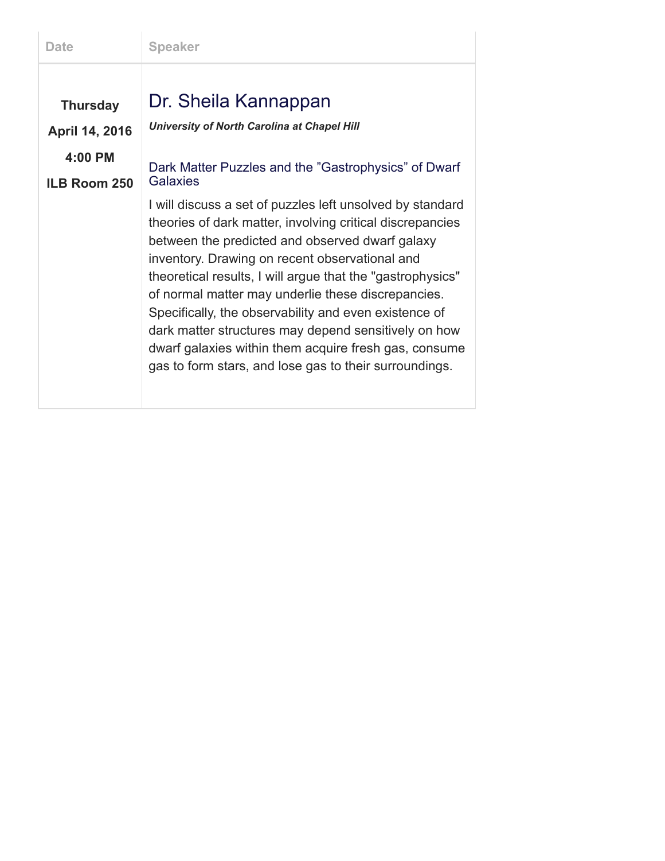| Date                                                                | <b>Speaker</b>                                                                                                                                                                                                                                                                                                                                                                                                                                                                                                                                                                                                                                                                                                                        |
|---------------------------------------------------------------------|---------------------------------------------------------------------------------------------------------------------------------------------------------------------------------------------------------------------------------------------------------------------------------------------------------------------------------------------------------------------------------------------------------------------------------------------------------------------------------------------------------------------------------------------------------------------------------------------------------------------------------------------------------------------------------------------------------------------------------------|
| <b>Thursday</b><br>April 14, 2016<br>4:00 PM<br><b>ILB Room 250</b> | Dr. Sheila Kannappan<br>University of North Carolina at Chapel Hill<br>Dark Matter Puzzles and the "Gastrophysics" of Dwarf<br><b>Galaxies</b><br>I will discuss a set of puzzles left unsolved by standard<br>theories of dark matter, involving critical discrepancies<br>between the predicted and observed dwarf galaxy<br>inventory. Drawing on recent observational and<br>theoretical results, I will argue that the "gastrophysics"<br>of normal matter may underlie these discrepancies.<br>Specifically, the observability and even existence of<br>dark matter structures may depend sensitively on how<br>dwarf galaxies within them acquire fresh gas, consume<br>gas to form stars, and lose gas to their surroundings. |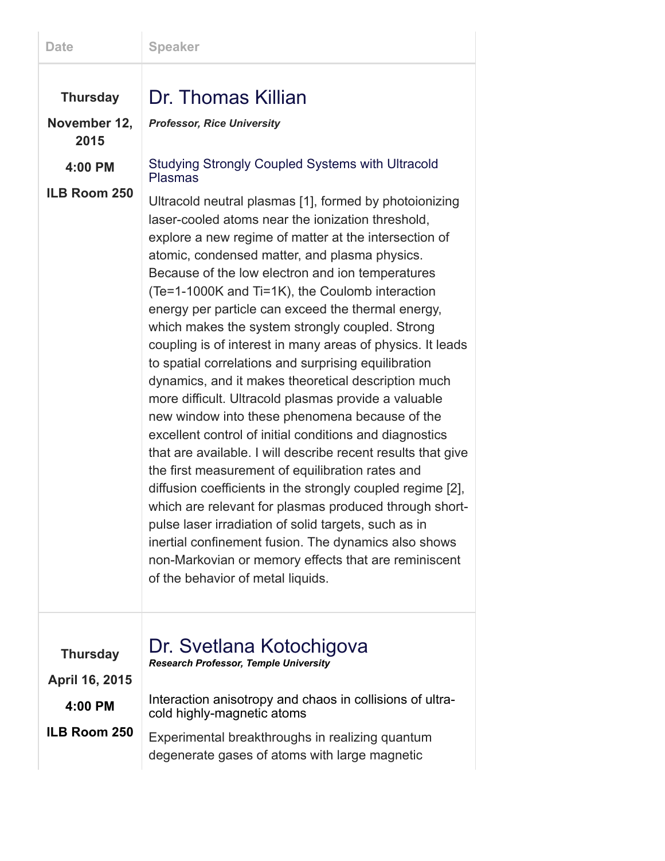| <b>Date</b>                                                               | <b>Speaker</b>                                                                                                                                                                                                                                                                                                                                                                                                                                                                                                                                                                                                                                                                                                                                                                                                                                                                                                                                                                                                                                                                                                                                                                                                                                                                                                                                                                           |
|---------------------------------------------------------------------------|------------------------------------------------------------------------------------------------------------------------------------------------------------------------------------------------------------------------------------------------------------------------------------------------------------------------------------------------------------------------------------------------------------------------------------------------------------------------------------------------------------------------------------------------------------------------------------------------------------------------------------------------------------------------------------------------------------------------------------------------------------------------------------------------------------------------------------------------------------------------------------------------------------------------------------------------------------------------------------------------------------------------------------------------------------------------------------------------------------------------------------------------------------------------------------------------------------------------------------------------------------------------------------------------------------------------------------------------------------------------------------------|
| <b>Thursday</b><br>November 12,<br>2015<br>4:00 PM<br><b>ILB Room 250</b> | Dr. Thomas Killian<br><b>Professor, Rice University</b><br><b>Studying Strongly Coupled Systems with Ultracold</b><br><b>Plasmas</b><br>Ultracold neutral plasmas [1], formed by photoionizing<br>laser-cooled atoms near the ionization threshold,<br>explore a new regime of matter at the intersection of<br>atomic, condensed matter, and plasma physics.<br>Because of the low electron and ion temperatures<br>(Te=1-1000K and Ti=1K), the Coulomb interaction<br>energy per particle can exceed the thermal energy,<br>which makes the system strongly coupled. Strong<br>coupling is of interest in many areas of physics. It leads<br>to spatial correlations and surprising equilibration<br>dynamics, and it makes theoretical description much<br>more difficult. Ultracold plasmas provide a valuable<br>new window into these phenomena because of the<br>excellent control of initial conditions and diagnostics<br>that are available. I will describe recent results that give<br>the first measurement of equilibration rates and<br>diffusion coefficients in the strongly coupled regime [2],<br>which are relevant for plasmas produced through short-<br>pulse laser irradiation of solid targets, such as in<br>inertial confinement fusion. The dynamics also shows<br>non-Markovian or memory effects that are reminiscent<br>of the behavior of metal liquids. |
| <b>Thursday</b><br>April 16, 2015<br>4:00 PM                              | Dr. Svetlana Kotochigova<br><b>Research Professor, Temple University</b><br>Interaction anisotropy and chaos in collisions of ultra-<br>cold highly-magnetic atoms                                                                                                                                                                                                                                                                                                                                                                                                                                                                                                                                                                                                                                                                                                                                                                                                                                                                                                                                                                                                                                                                                                                                                                                                                       |
| <b>ILB Room 250</b>                                                       | Experimental breakthroughs in realizing quantum<br>degenerate gases of atoms with large magnetic                                                                                                                                                                                                                                                                                                                                                                                                                                                                                                                                                                                                                                                                                                                                                                                                                                                                                                                                                                                                                                                                                                                                                                                                                                                                                         |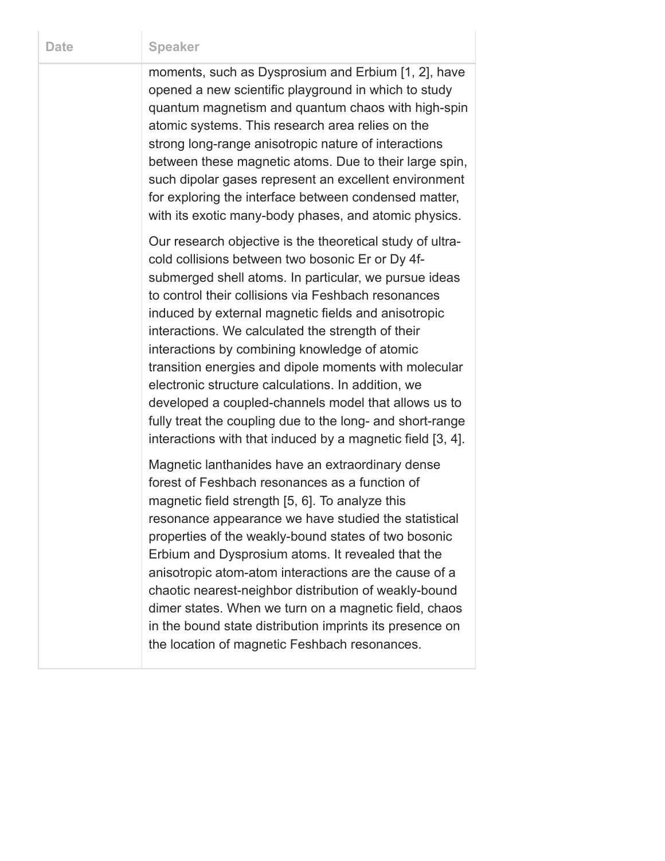moments, such as Dysprosium and Erbium [1, 2], have opened a new scientific playground in which to study quantum magnetism and quantum chaos with high-spin atomic systems. This research area relies on the strong long-range anisotropic nature of interactions between these magnetic atoms. Due to their large spin, such dipolar gases represent an excellent environment for exploring the interface between condensed matter, with its exotic many-body phases, and atomic physics.

Our research objective is the theoretical study of ultracold collisions between two bosonic Er or Dy 4fsubmerged shell atoms. In particular, we pursue ideas to control their collisions via Feshbach resonances induced by external magnetic fields and anisotropic interactions. We calculated the strength of their interactions by combining knowledge of atomic transition energies and dipole moments with molecular electronic structure calculations. In addition, we developed a coupled-channels model that allows us to fully treat the coupling due to the long- and short-range interactions with that induced by a magnetic field [3, 4].

Magnetic lanthanides have an extraordinary dense forest of Feshbach resonances as a function of magnetic field strength [5, 6]. To analyze this resonance appearance we have studied the statistical properties of the weakly-bound states of two bosonic Erbium and Dysprosium atoms. It revealed that the anisotropic atom-atom interactions are the cause of a chaotic nearest-neighbor distribution of weakly-bound dimer states. When we turn on a magnetic field, chaos in the bound state distribution imprints its presence on the location of magnetic Feshbach resonances.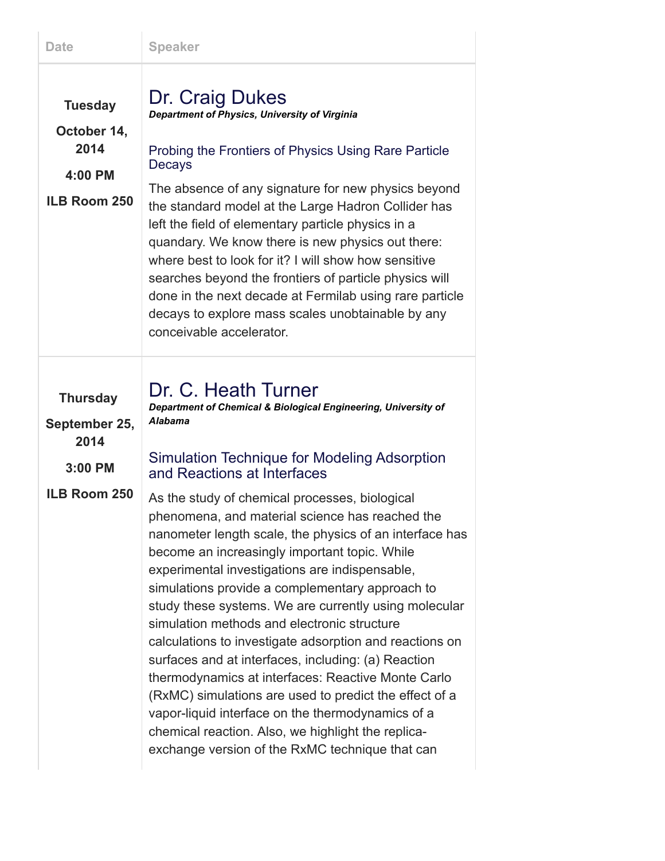| <b>Date</b>                                                             | <b>Speaker</b>                                                                                                                                                                                                                                                                                                                                                                                                                                                                                                                                                                                                                                                                                                                                                                                                             |
|-------------------------------------------------------------------------|----------------------------------------------------------------------------------------------------------------------------------------------------------------------------------------------------------------------------------------------------------------------------------------------------------------------------------------------------------------------------------------------------------------------------------------------------------------------------------------------------------------------------------------------------------------------------------------------------------------------------------------------------------------------------------------------------------------------------------------------------------------------------------------------------------------------------|
| <b>Tuesday</b><br>October 14,<br>2014<br>4:00 PM<br><b>ILB Room 250</b> | Dr. Craig Dukes<br>Department of Physics, University of Virginia<br>Probing the Frontiers of Physics Using Rare Particle<br>Decays<br>The absence of any signature for new physics beyond<br>the standard model at the Large Hadron Collider has<br>left the field of elementary particle physics in a<br>quandary. We know there is new physics out there:<br>where best to look for it? I will show how sensitive<br>searches beyond the frontiers of particle physics will<br>done in the next decade at Fermilab using rare particle<br>decays to explore mass scales unobtainable by any<br>conceivable accelerator.                                                                                                                                                                                                  |
| <b>Thursday</b><br>September 25,<br>2014<br>3:00 PM                     | Dr. C. Heath Turner<br>Department of Chemical & Biological Engineering, University of<br><b>Alabama</b><br>Simulation Technique for Modeling Adsorption<br>and Reactions at Interfaces                                                                                                                                                                                                                                                                                                                                                                                                                                                                                                                                                                                                                                     |
| <b>ILB Room 250</b>                                                     | As the study of chemical processes, biological<br>phenomena, and material science has reached the<br>nanometer length scale, the physics of an interface has<br>become an increasingly important topic. While<br>experimental investigations are indispensable,<br>simulations provide a complementary approach to<br>study these systems. We are currently using molecular<br>simulation methods and electronic structure<br>calculations to investigate adsorption and reactions on<br>surfaces and at interfaces, including: (a) Reaction<br>thermodynamics at interfaces: Reactive Monte Carlo<br>(RxMC) simulations are used to predict the effect of a<br>vapor-liquid interface on the thermodynamics of a<br>chemical reaction. Also, we highlight the replica-<br>exchange version of the RxMC technique that can |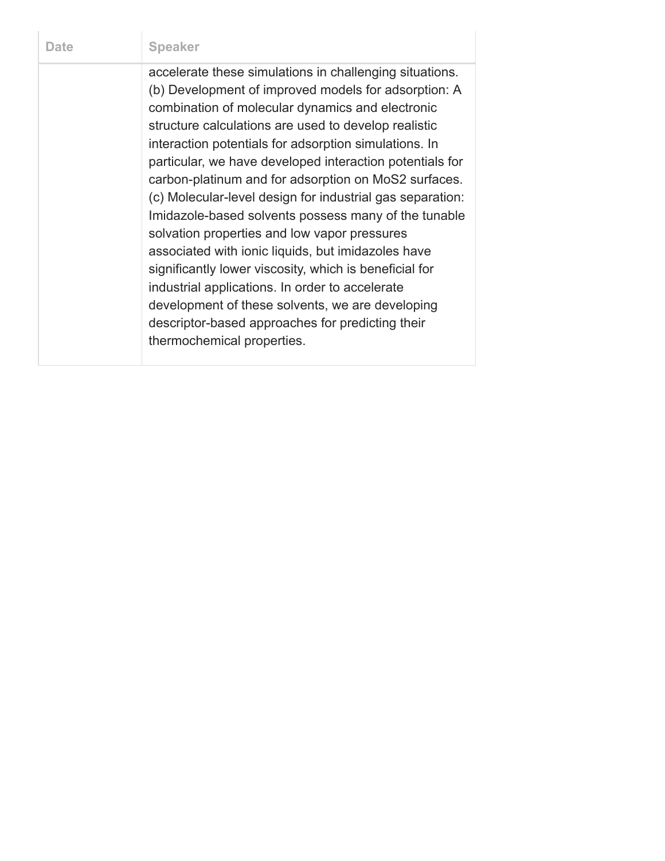| Date | <b>Speaker</b>                                                                                                                                                                                                                                                                                                                                                                                                                                                                                                                                                                                                                                                                                                                                                                                                                                                                         |
|------|----------------------------------------------------------------------------------------------------------------------------------------------------------------------------------------------------------------------------------------------------------------------------------------------------------------------------------------------------------------------------------------------------------------------------------------------------------------------------------------------------------------------------------------------------------------------------------------------------------------------------------------------------------------------------------------------------------------------------------------------------------------------------------------------------------------------------------------------------------------------------------------|
|      | accelerate these simulations in challenging situations.<br>(b) Development of improved models for adsorption: A<br>combination of molecular dynamics and electronic<br>structure calculations are used to develop realistic<br>interaction potentials for adsorption simulations. In<br>particular, we have developed interaction potentials for<br>carbon-platinum and for adsorption on MoS2 surfaces.<br>(c) Molecular-level design for industrial gas separation:<br>Imidazole-based solvents possess many of the tunable<br>solvation properties and low vapor pressures<br>associated with ionic liquids, but imidazoles have<br>significantly lower viscosity, which is beneficial for<br>industrial applications. In order to accelerate<br>development of these solvents, we are developing<br>descriptor-based approaches for predicting their<br>thermochemical properties. |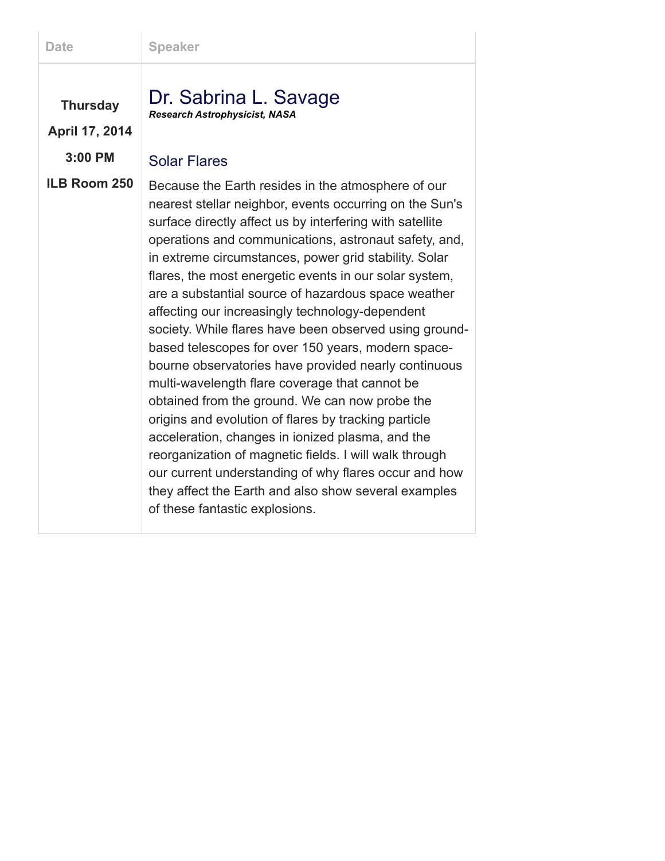Thursday

#### Dr. Sabrina L. Savage Research Astrophysicist, NASA

April 17, 2014

3:00 PM

## ILB Room 250 Solar Flares

Because the Earth resides in the atmosphere of our nearest stellar neighbor, events occurring on the Sun's surface directly affect us by interfering with satellite operations and communications, astronaut safety, and, in extreme circumstances, power grid stability. Solar flares, the most energetic events in our solar system, are a substantial source of hazardous space weather affecting our increasingly technology-dependent society. While flares have been observed using groundbased telescopes for over 150 years, modern spacebourne observatories have provided nearly continuous multi-wavelength flare coverage that cannot be obtained from the ground. We can now probe the origins and evolution of flares by tracking particle acceleration, changes in ionized plasma, and the reorganization of magnetic fields. I will walk through our current understanding of why flares occur and how they affect the Earth and also show several examples of these fantastic explosions.